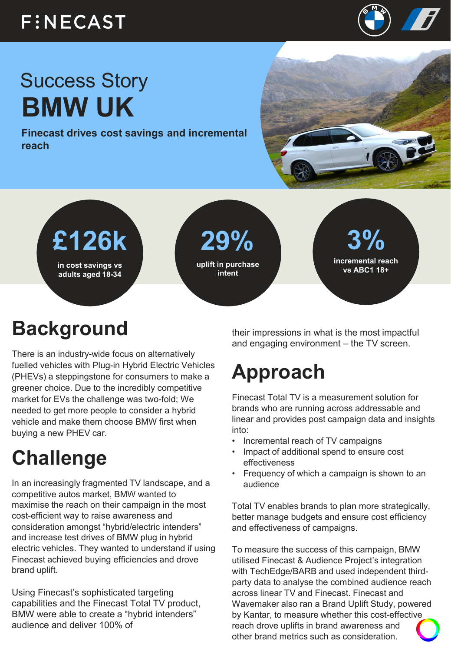#### **FINECAST**



# Success Story **BMW UK**

**Finecast drives cost savings and incremental reach**





## **Background**

There is an industry-wide focus on alternatively fuelled vehicles with Plug-in Hybrid Electric Vehicles (PHEVs) a steppingstone for consumers to make a greener choice. Due to the incredibly competitive market for EVs the challenge was two-fold; We needed to get more people to consider a hybrid vehicle and make them choose BMW first when buying a new PHEV car.

### **Challenge**

In an increasingly fragmented TV landscape, and a competitive autos market, BMW wanted to maximise the reach on their campaign in the most cost-efficient way to raise awareness and consideration amongst "hybrid/electric intenders" and increase test drives of BMW plug in hybrid electric vehicles. They wanted to understand if using Finecast achieved buying efficiencies and drove brand uplift.

Using Finecast's sophisticated targeting capabilities and the Finecast Total TV product, BMW were able to create a "hybrid intenders" audience and deliver 100% of

their impressions in what is the most impactful and engaging environment – the TV screen.

### **Approach**

Finecast Total TV is a measurement solution for brands who are running across addressable and linear and provides post campaign data and insights into:

- Incremental reach of TV campaigns
- Impact of additional spend to ensure cost effectiveness
- Frequency of which a campaign is shown to an audience

Total TV enables brands to plan more strategically, better manage budgets and ensure cost efficiency and effectiveness of campaigns.

To measure the success of this campaign, BMW utilised Finecast & Audience Project's integration with TechEdge/BARB and used independent thirdparty data to analyse the combined audience reach across linear TV and Finecast. Finecast and Wavemaker also ran a Brand Uplift Study, powered by Kantar, to measure whether this cost-effective reach drove uplifts in brand awareness and other brand metrics such as consideration.